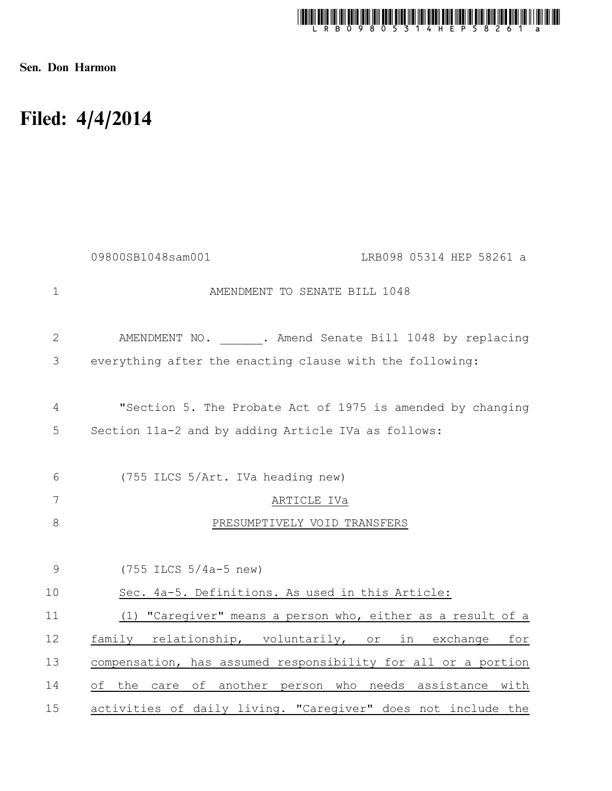

Sen. Don Harmon

## Filed: 4/4/2014

|                | 09800SB1048sam001<br>LRB098 05314 HEP 58261 a                 |
|----------------|---------------------------------------------------------------|
| $\mathbf 1$    | AMENDMENT TO SENATE BILL 1048                                 |
| $\mathbf{2}$   | AMENDMENT NO. . Amend Senate Bill 1048 by replacing           |
| 3              | everything after the enacting clause with the following:      |
| $\overline{4}$ | "Section 5. The Probate Act of 1975 is amended by changing    |
| 5              | Section 11a-2 and by adding Article IVa as follows:           |
| 6              | (755 ILCS 5/Art. IVa heading new)                             |
| 7              | ARTICLE IVa                                                   |
| $8\,$          | PRESUMPTIVELY VOID TRANSFERS                                  |
| 9              | $(755$ ILCS $5/4a-5$ new)                                     |
| 10             | Sec. 4a-5. Definitions. As used in this Article:              |
| 11             | (1) "Caregiver" means a person who, either as a result of a   |
| 12             | family relationship, voluntarily, or in exchange<br>for       |
| 13             | compensation, has assumed responsibility for all or a portion |
| 14             | the care of another person who needs assistance with<br>of    |
| 15             | activities of daily living. "Caregiver" does not include the  |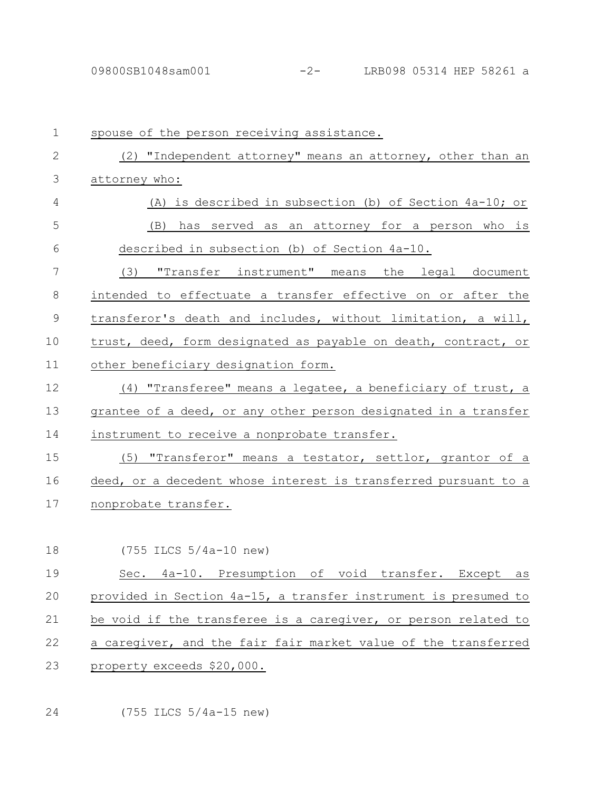| $\mathbf 1$   | spouse of the person receiving assistance.                      |
|---------------|-----------------------------------------------------------------|
| 2             | (2) "Independent attorney" means an attorney, other than an     |
| 3             | attorney who:                                                   |
| 4             | (A) is described in subsection (b) of Section 4a-10; or         |
| 5             | has served as an attorney for a person who is<br>(B)            |
| 6             | described in subsection (b) of Section 4a-10.                   |
| 7             | (3) "Transfer_instrument" means the legal document              |
| 8             | intended to effectuate a transfer effective on or after the     |
| $\mathcal{G}$ | transferor's death and includes, without limitation, a will,    |
| 10            | trust, deed, form designated as payable on death, contract, or  |
| 11            | other beneficiary designation form.                             |
| 12            | (4) "Transferee" means a legatee, a beneficiary of trust, a     |
| 13            | grantee of a deed, or any other person designated in a transfer |
| 14            | instrument to receive a nonprobate transfer.                    |
| 15            | (5) "Transferor" means a testator, settlor, grantor of a        |
| 16            | deed, or a decedent whose interest is transferred pursuant to a |
| 17            | nonprobate transfer.                                            |
|               |                                                                 |
| 18            | $(755$ ILCS $5/4a-10$ new)                                      |
| 19            | Sec. 4a-10. Presumption of void transfer.<br>Except<br>as       |
| 20            | provided in Section 4a-15, a transfer instrument is presumed to |
| 21            | be void if the transferee is a caregiver, or person related to  |
| 22            | a caregiver, and the fair fair market value of the transferred  |
| 23            | property exceeds \$20,000.                                      |
|               |                                                                 |

(755 ILCS 5/4a-15 new) 24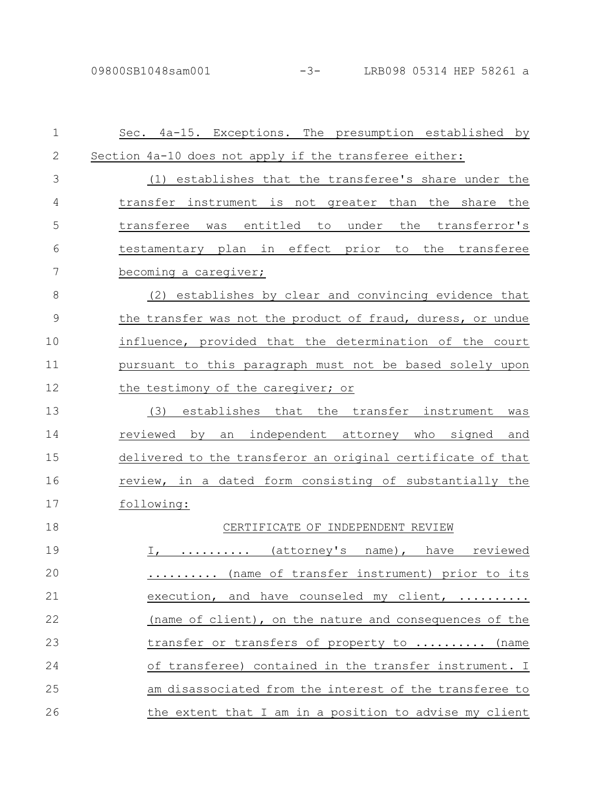| $\mathbf 1$ | Sec. 4a-15. Exceptions. The presumption established by      |
|-------------|-------------------------------------------------------------|
| 2           | Section 4a-10 does not apply if the transferee either:      |
| 3           | (1) establishes that the transferee's share under the       |
| 4           | transfer instrument is not greater than the share the       |
| 5           | transferee was entitled to under the transferror's          |
| 6           | testamentary plan in effect prior to the transferee         |
| 7           | becoming a caregiver;                                       |
| 8           | (2) establishes by clear and convincing evidence that       |
| 9           | the transfer was not the product of fraud, duress, or undue |
| 10          | influence, provided that the determination of the court     |
| 11          | pursuant to this paragraph must not be based solely upon    |
| 12          | the testimony of the caregiver; or                          |
| 13          | (3)<br>establishes that<br>the transfer instrument<br>was   |
| 14          | independent attorney who signed<br>reviewed by<br>an<br>and |
| 15          | delivered to the transferor an original certificate of that |
| 16          | review, in a dated form consisting of substantially the     |
| 17          | following:                                                  |
| 18          | CERTIFICATE OF INDEPENDENT REVIEW                           |
| 19          | I,  (attorney's name), have reviewed                        |
| 20          | (name of transfer instrument) prior to its                  |
| 21          | execution, and have counseled my client,                    |
| 22          | (name of client), on the nature and consequences of the     |
| 23          | transfer or transfers of property to  (name                 |
| 24          | of transferee) contained in the transfer instrument. I      |
| 25          | am disassociated from the interest of the transferee to     |
| 26          | the extent that I am in a position to advise my client      |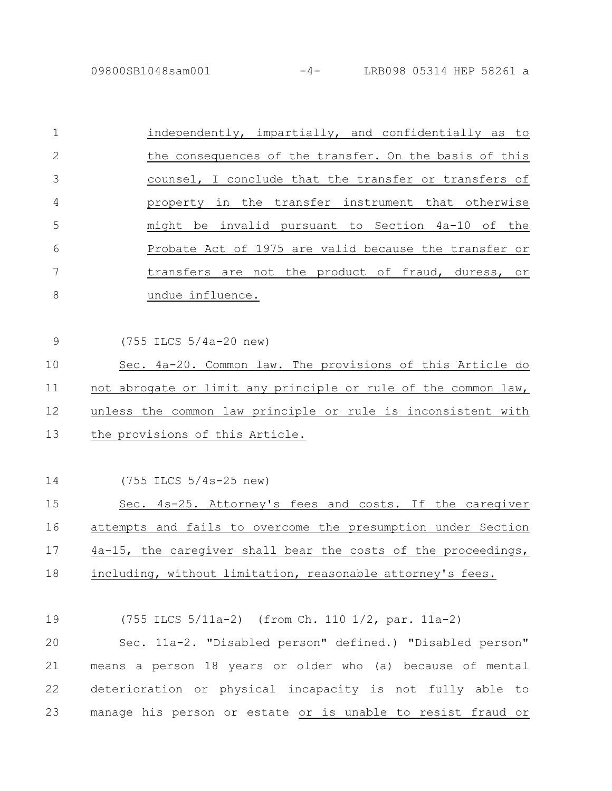09800SB1048sam001 -4- LRB098 05314 HEP 58261 a

(755 ILCS 5/4a-20 new)

9

|                | independently, impartially, and confidentially as to   |
|----------------|--------------------------------------------------------|
| 2              | the consequences of the transfer. On the basis of this |
| 3              | counsel, I conclude that the transfer or transfers of  |
| $\overline{4}$ | property in the transfer instrument that otherwise     |
| 5              | might be invalid pursuant to Section 4a-10 of the      |
| 6              | Probate Act of 1975 are valid because the transfer or  |
|                | transfers are not the product of fraud, duress, or     |
| 8              | undue influence.                                       |

Sec. 4a-20. Common law. The provisions of this Article do not abrogate or limit any principle or rule of the common law, unless the common law principle or rule is inconsistent with the provisions of this Article. 10 11 12 13

(755 ILCS 5/4s-25 new) Sec. 4s-25. Attorney's fees and costs. If the caregiver attempts and fails to overcome the presumption under Section 4a-15, the caregiver shall bear the costs of the proceedings, including, without limitation, reasonable attorney's fees. 14 15 16 17 18

(755 ILCS 5/11a-2) (from Ch. 110 1/2, par. 11a-2) Sec. 11a-2. "Disabled person" defined.) "Disabled person" means a person 18 years or older who (a) because of mental deterioration or physical incapacity is not fully able to manage his person or estate or is unable to resist fraud or 19 20 21 22 23